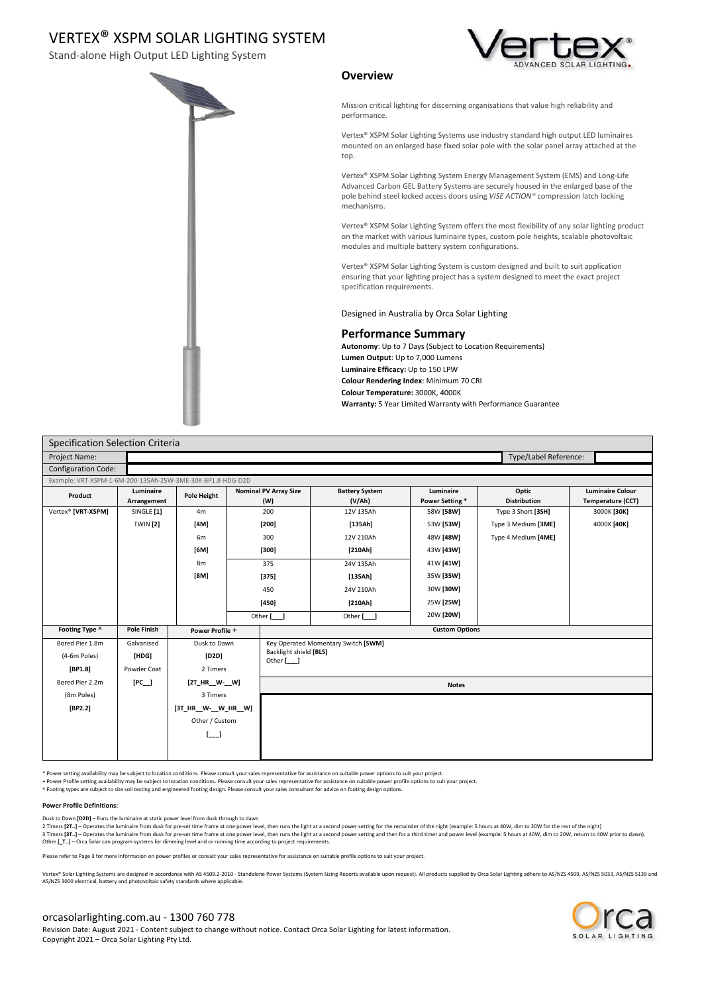Stand-alone High Output LED Lighting System





### **Overview**

Mission critical lighting for discerning organisations that value high reliability and performance.

Vertex® XSPM Solar Lighting Systems use industry standard high output LED luminaires mounted on an enlarged base fixed solar pole with the solar panel array attached at the top.

Vertex® XSPM Solar Lighting System Energy Management System (EMS) and Long-Life Advanced Carbon GEL Battery Systems are securely housed in the enlarged base of the pole behind steel locked access doors using *VISE ACTION®* compression latch locking mechanisms.

Vertex® XSPM Solar Lighting System offers the most flexibility of any solar lighting product on the market with various luminaire types, custom pole heights, scalable photovoltaic modules and multiple battery system configurations.

Vertex® XSPM Solar Lighting System is custom designed and built to suit application ensuring that your lighting project has a system designed to meet the exact project specification requirements.

Designed in Australia by Orca Solar Lighting

#### **Performance Summary**

**Autonomy**: Up to 7 Days (Subject to Location Requirements) **Lumen Output**: Up to 7,000 Lumens **Luminaire Efficacy:** Up to 150 LPW **Colour Rendering Index**: Minimum 70 CRI **Colour Temperature:** 3000K, 4000K **Warranty:** 5 Year Limited Warranty with Performance Guarantee

| Specification Selection Criteria                           |                          |                      |  |                                                                             |                                 |                             |                              |                                              |
|------------------------------------------------------------|--------------------------|----------------------|--|-----------------------------------------------------------------------------|---------------------------------|-----------------------------|------------------------------|----------------------------------------------|
| Type/Label Reference:<br>Project Name:                     |                          |                      |  |                                                                             |                                 |                             |                              |                                              |
| <b>Configuration Code:</b>                                 |                          |                      |  |                                                                             |                                 |                             |                              |                                              |
| Example: VRT-XSPM-1-6M-200-135Ah-25W-3ME-30K-BP1.8-HDG-D2D |                          |                      |  |                                                                             |                                 |                             |                              |                                              |
| Product                                                    | Luminaire<br>Arrangement | Pole Height          |  | <b>Nominal PV Array Size</b><br>(W)                                         | <b>Battery System</b><br>(V/Ah) | Luminaire<br>Power Setting* | Optic<br><b>Distribution</b> | <b>Luminaire Colour</b><br>Temperature (CCT) |
| Vertex® [VRT-XSPM]                                         | SINGLE [1]               | 4m                   |  | 200                                                                         | 12V 135Ah                       | 58W [58W]                   | Type 3 Short [3SH]           | 3000K [30K]                                  |
|                                                            | <b>TWIN</b> [2]          | [4M]                 |  | $[200]$                                                                     | [135Ah]                         | 53W [53W]                   | Type 3 Medium [3ME]          | 4000K [40K]                                  |
|                                                            |                          | 6m                   |  | 300                                                                         | 12V 210Ah                       | 48W [48W]                   | Type 4 Medium [4ME]          |                                              |
|                                                            |                          | [6M]                 |  | $[300]$                                                                     | [210Ah]                         | 43W [43W]                   |                              |                                              |
|                                                            |                          | 8m                   |  | 375                                                                         | 24V 135Ah                       | 41W [41W]                   |                              |                                              |
|                                                            |                          | [8M]                 |  | $[375]$                                                                     | [135Ah]                         | 35W [35W]                   |                              |                                              |
|                                                            |                          |                      |  | 450                                                                         | 24V 210Ah                       | 30W [30W]                   |                              |                                              |
|                                                            |                          |                      |  | $\left[ 450\right]$                                                         | [210Ah]                         | 25W [25W]                   |                              |                                              |
|                                                            |                          |                      |  | Other [__]                                                                  | Other [__]                      | 20W [20W]                   |                              |                                              |
| Footing Type ^                                             | <b>Pole Finish</b>       | Power Profile +      |  | <b>Custom Options</b>                                                       |                                 |                             |                              |                                              |
| Bored Pier 1.8m                                            | Galvanised               | Dusk to Dawn         |  | Key Operated Momentary Switch [SWM]<br>Backlight shield [BLS]<br>Other [__] |                                 |                             |                              |                                              |
| (4-6m Poles)                                               | [HDG]                    | [D2D]                |  |                                                                             |                                 |                             |                              |                                              |
| [BP1.8]                                                    | Powder Coat              | 2 Timers             |  |                                                                             |                                 |                             |                              |                                              |
| Bored Pier 2.2m                                            | $[PC_$                   | [2T_HR_W-_W]         |  | <b>Notes</b>                                                                |                                 |                             |                              |                                              |
| (8m Poles)                                                 |                          | 3 Timers             |  |                                                                             |                                 |                             |                              |                                              |
| [BP2.2]                                                    |                          | [3T_HR__W-__W_HR__W] |  |                                                                             |                                 |                             |                              |                                              |
|                                                            |                          | Other / Custom       |  |                                                                             |                                 |                             |                              |                                              |
|                                                            |                          |                      |  |                                                                             |                                 |                             |                              |                                              |
|                                                            |                          |                      |  |                                                                             |                                 |                             |                              |                                              |
|                                                            |                          |                      |  |                                                                             |                                 |                             |                              |                                              |

\* Power setting availability may be subject to location conditions. Please consult your sales representative for assistance on suitable power options to suit your project.

+ Power Profile setting availability may be subject to location conditions. Please consult your sales representative for assistance on suitable power profile options to suit your project.

^ Footing types are subject to site soil testing and engineered footing design. Please consult your sales consultant for advice on footing design options.

#### **Power Profile Definitions:**

Dusk to Dawn **[D2D]** – Runs the luminaire at static power level from dusk through to dawn

2 Timers **[2T..] –** Operates the luminaire from dusk for pre-set time frame at one power level, then runs the light at a second power setting for the remainder of the night (example: 5 hours at 40W, dim to 20W for the rest

Other **[\_T..]** – Orca Solar can program systems for dimming level and or running time according to project requirements.

Please refer to Page 3 for more information on power profiles or consult your sales representative for assistance on suitable profile options to suit your project.

lar Lighting Systems are designed in accordance with AS 4509.2-2010 - Standalone Power Systems (System Sizing Reports available upon request). All products supplied by Orca Solar Lighting adhere to AS/NZS 4509, AS/NZS 5033 AS/NZS 3000 electrical, battery and photovoltaic safety standards where applicable.

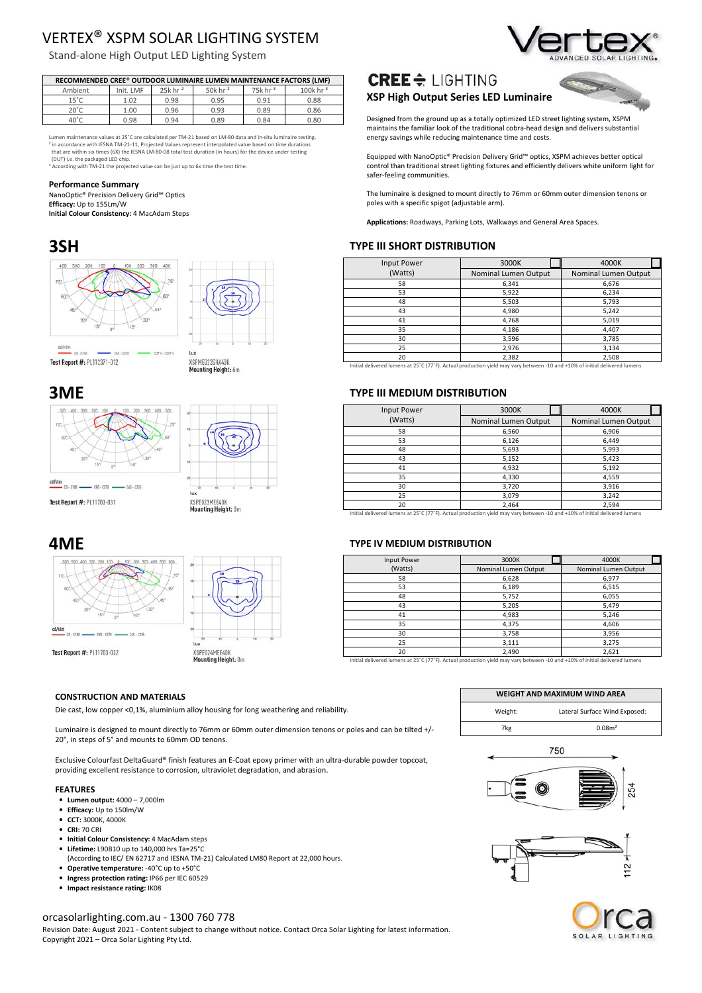Stand-alone High Output LED Lighting System

| RECOMMENDED CREE® OUTDOOR LUMINAIRE LUMEN MAINTENANCE FACTORS (LMF) |           |                       |                        |                       |                         |  |
|---------------------------------------------------------------------|-----------|-----------------------|------------------------|-----------------------|-------------------------|--|
| Ambient                                                             | Init. LMF | $25k$ hr <sup>2</sup> | 50 $k$ hr <sup>2</sup> | $75k$ hr <sup>3</sup> | 100 $k$ hr <sup>3</sup> |  |
| $15^{\circ}$ C                                                      | 1.02      | 0.98                  | 0.95                   | 0.91                  | 0.88                    |  |
| $20^{\circ}$ C.                                                     | 1.00      | 0.96                  | 0.93                   | 0.89                  | 0.86                    |  |
| 40°C                                                                | 0.98      | 0.94                  | 0.89                   | 0.84                  | 0.80                    |  |

Lumen maintenance values at 25˚C are calculated per TM-21 based on LM-80 data and in-situ luminaire testing. <sup>2</sup> in accordance with IESNA TM-21-11, Projected Values represent interpolated value based on time durations<br>that are within six times (6X) the IESNA LM-80-08 total test duration (in hours) for the device under testing<br>(DU

#### **Performance Summary**

NanoOptic® Precision Delivery Grid™ Optics

**Efficacy:** Up to 155Lm/W

**Initial Colour Consistency:** 4 MacAdam Steps





XSPME023SHA40K Mounting Height: 6m

Test Report #: PL112371-012









#### **CONSTRUCTION AND MATERIALS**

Die cast, low copper <0,1%, aluminium alloy housing for long weathering and reliability.

Luminaire is designed to mount directly to 76mm or 60mm outer dimension tenons or poles and can be tilted +/- 20°, in steps of 5° and mounts to 60mm OD tenons.

Exclusive Colourfast DeltaGuard® finish features an E-Coat epoxy primer with an ultra-durable powder topcoat, providing excellent resistance to corrosion, ultraviolet degradation, and abrasion.

#### **FEATURES**

- **Lumen output:** 4000 7,000lm
- **Efficacy:** Up to 150lm/W
- **CCT:** 3000K, 4000K
- **CRI:** 70 CRI
- **Initial Colour Consistency:** 4 MacAdam steps
- **Lifetime:** L90B10 up to 140,000 hrs Ta=25°C
	- (According to IEC/ EN 62717 and IESNA TM-21) Calculated LM80 Report at 22,000 hours.
- **Operative temperature:** -40°C up to +50°C
- **Ingress protection rating:** IP66 per IEC 60529 • **Impact resistance rating:** IK08
- 

### orcasolarlighting.com.au - 1300 760 778

Revision Date: August 2021 - Content subject to change without notice. Contact Orca Solar Lighting for latest information. Copyright 2021 – Orca Solar Lighting Pty Ltd.



# $CREE \div LIGHTING$

### **XSP High Output Series LED Luminaire**



Designed from the ground up as a totally optimized LED street lighting system, XSPM maintains the familiar look of the traditional cobra-head design and delivers substantial energy savings while reducing maintenance time and costs.

Equipped with NanoOptic® Precision Delivery Grid™ optics, XSPM achieves better optical control than traditional street lighting fixtures and efficiently delivers white uniform light for safer-feeling communities.

The luminaire is designed to mount directly to 76mm or 60mm outer dimension tenons or poles with a specific spigot (adjustable arm).

**Applications:** Roadways, Parking Lots, Walkways and General Area Spaces.

### **3SH TYPE III SHORT DISTRIBUTION**

| Input Power | 3000K                | 4000K |                      |  |
|-------------|----------------------|-------|----------------------|--|
| (Watts)     | Nominal Lumen Output |       | Nominal Lumen Output |  |
| 58          | 6,341                |       | 6,676                |  |
| 53          | 5,922                |       | 6,234                |  |
| 48          | 5,503                |       | 5,793                |  |
| 43          | 4,980                |       | 5,242                |  |
| 41          | 4,768                |       | 5,019                |  |
| 35          | 4,186                |       | 4,407                |  |
| 30          | 3,596                |       | 3,785                |  |
| 25          | 2,976                |       | 3,134                |  |
| 20          | 2,382                |       | 2,508                |  |

Initial delivered lumens at 25˚C (77˚F). Actual production yield may vary between -10 and +10% of initial delivered lumens

### **3ME TYPE III MEDIUM DISTRIBUTION**

| <b>Input Power</b>                                                                                                            | 3000K                | 4000K                |  |
|-------------------------------------------------------------------------------------------------------------------------------|----------------------|----------------------|--|
| (Watts)                                                                                                                       | Nominal Lumen Output | Nominal Lumen Output |  |
| 58                                                                                                                            | 6,560                | 6,906                |  |
| 53                                                                                                                            | 6,126                | 6,449                |  |
| 48                                                                                                                            | 5,693                | 5,993                |  |
| 43                                                                                                                            | 5,152                | 5,423                |  |
| 41                                                                                                                            | 4,932                | 5,192                |  |
| 35                                                                                                                            | 4,330                | 4,559                |  |
| 30                                                                                                                            | 3,720                | 3,916                |  |
| 25                                                                                                                            | 3,079                | 3,242                |  |
| 20                                                                                                                            | 2,464                | 2,594                |  |
| taisial dalingaad huggaa ee 90°C (77°C). Aaknal gaadhastaa nigdd gaannaan kasmaag. 40 aad +400/ af isistal dalingaad huggaa e |                      |                      |  |

Initial delivered lumens at 25˚C (77˚F). Actual production yield may vary between -10 and +10% of initial delivered lumens

### **4ME TYPE IV MEDIUM DISTRIBUTION**

| Input Power | 3000K                | 4000K                |  |
|-------------|----------------------|----------------------|--|
| (Watts)     | Nominal Lumen Output | Nominal Lumen Output |  |
| 58          | 6,628                | 6,977                |  |
| 53          | 6,189                | 6,515                |  |
| 48          | 5,752                | 6,055                |  |
| 43          | 5,205                | 5,479                |  |
| 41          | 4,983                | 5,246                |  |
| 35          | 4,375                | 4,606                |  |
| 30          | 3,758                | 3,956                |  |
| 25          | 3,111                | 3,275                |  |
| 20          | 2,490                | 2,621                |  |

Initial delivered lumens at 25˚C (77˚F). Actual production yield may vary between -10 and +10% of initial delivered lumens

| WEIGHT AND MAXIMUM WIND AREA |                               |  |  |  |  |
|------------------------------|-------------------------------|--|--|--|--|
| Weight:                      | Lateral Surface Wind Exposed: |  |  |  |  |
| 7kg                          | 0.08m <sup>2</sup>            |  |  |  |  |





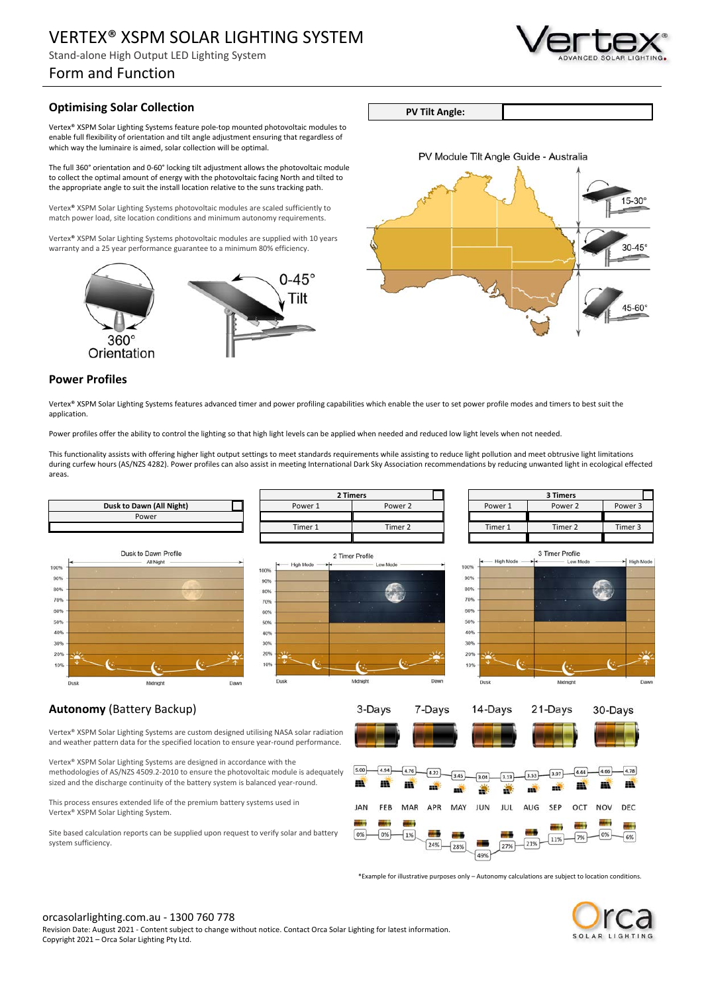Stand-alone High Output LED Lighting System

## Form and Function

### **Optimising Solar Collection**

Vertex® XSPM Solar Lighting Systems feature pole-top mounted photovoltaic modules to enable full flexibility of orientation and tilt angle adjustment ensuring that regardless of which way the luminaire is aimed, solar collection will be optimal.

The full 360° orientation and 0-60° locking tilt adjustment allows the photovoltaic module to collect the optimal amount of energy with the photovoltaic facing North and tilted to the appropriate angle to suit the install location relative to the suns tracking path.

Vertex® XSPM Solar Lighting Systems photovoltaic modules are scaled sufficiently to match power load, site location conditions and minimum autonomy requirements.

Vertex® XSPM Solar Lighting Systems photovoltaic modules are supplied with 10 years warranty and a 25 year performance guarantee to a minimum 80% efficiency.





### **Power Profiles**

Vertex® XSPM Solar Lighting Systems features advanced timer and power profiling capabilities which enable the user to set power profile modes and timers to best suit the application.

Power profiles offer the ability to control the lighting so that high light levels can be applied when needed and reduced low light levels when not needed.

This functionality assists with offering higher light output settings to meet standards requirements while assisting to reduce light pollution and meet obtrusive light limitations during curfew hours (AS/NZS 4282). Power profiles can also assist in meeting International Dark Sky Association recommendations by reducing unwanted light in ecological effected areas.











21-Davs

### **Autonomy** (Battery Backup)

Vertex® XSPM Solar Lighting Systems are custom designed utilising NASA solar radiation and weather pattern data for the specified location to ensure year-round performance.

Vertex® XSPM Solar Lighting Systems are designed in accordance with the methodologies of AS/NZS 4509.2-2010 to ensure the photovoltaic module is adequately sized and the discharge continuity of the battery system is balanced year-round.

This process ensures extended life of the premium battery systems used in Vertex® XSPM Solar Lighting System.

Site based calculation reports can be supplied upon request to verify solar and battery system sufficiency.





\*Example for illustrative purposes only – Autonomy calculations are subject to location conditions.



 $30 - \text{Davs}$ 





**PV Tilt Angle:**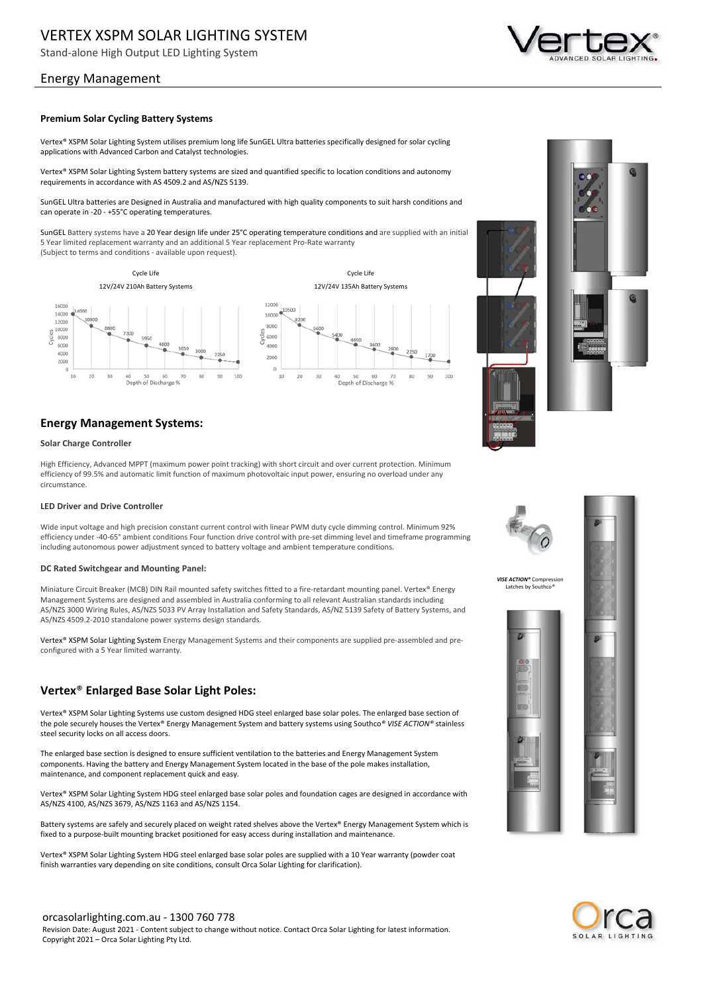Stand-alone High Output LED Lighting System

### Energy Management

#### **Premium Solar Cycling Battery Systems**

Vertex® XSPM Solar Lighting System utilises premium long life SunGEL Ultra batteries specifically designed for solar cycling applications with Advanced Carbon and Catalyst technologies.

Vertex® XSPM Solar Lighting System battery systems are sized and quantified specific to location conditions and autonomy requirements in accordance with AS 4509.2 and AS/NZS 5139.

SunGEL Ultra batteries are Designed in Australia and manufactured with high quality components to suit harsh conditions and can operate in -20 - +55°C operating temperatures.

SunGEL Battery systems have a 20 Year design life under 25°C operating temperature conditions and are supplied with an initial 5 Year limited replacement warranty and an additional 5 Year replacement Pro-Rate warranty (Subject to terms and conditions - available upon request).

Cycle Life Cycle Life 12V/24V 210Ah Battery Systems 12V/24V 135Ah Battery Systems 1200 16000 14000 € 1000 1200 10000  $200$ coon  $6000$  $1000$ 4000 2000  $10$  $30$ 80  $90$  $10^{-1}$  $20$ 30 80  $\circ$ 100 20 100 Depth of Discharge % Depth of Discharge %

### **Energy Management Systems:**

#### **Solar Charge Controller**

High Efficiency, Advanced MPPT (maximum power point tracking) with short circuit and over current protection. Minimum efficiency of 99.5% and automatic limit function of maximum photovoltaic input power, ensuring no overload under any circumstance.

#### **LED Driver and Drive Controller**

Wide input voltage and high precision constant current control with linear PWM duty cycle dimming control. Minimum 92% efficiency under -40-65° ambient conditions Four function drive control with pre-set dimming level and timeframe programming including autonomous power adjustment synced to battery voltage and ambient temperature conditions.

#### **DC Rated Switchgear and Mounting Panel:**

Miniature Circuit Breaker (MCB) DIN Rail mounted safety switches fitted to a fire-retardant mounting panel. Vertex® Energy Management Systems are designed and assembled in Australia conforming to all relevant Australian standards including AS/NZS 3000 Wiring Rules, AS/NZS 5033 PV Array Installation and Safety Standards, AS/NZ 5139 Safety of Battery Systems, and AS/NZS 4509.2-2010 standalone power systems design standards.

Vertex® XSPM Solar Lighting System Energy Management Systems and their components are supplied pre-assembled and preconfigured with a 5 Year limited warranty.

### **Vertex**® **Enlarged Base Solar Light Poles:**

Vertex® XSPM Solar Lighting Systems use custom designed HDG steel enlarged base solar poles. The enlarged base section of the pole securely houses the Vertex® Energy Management System and battery systems using Southco*® VISE ACTION®* stainless steel security locks on all access doors.

The enlarged base section is designed to ensure sufficient ventilation to the batteries and Energy Management System components. Having the battery and Energy Management System located in the base of the pole makes installation, maintenance, and component replacement quick and easy.

Vertex® XSPM Solar Lighting System HDG steel enlarged base solar poles and foundation cages are designed in accordance with AS/NZS 4100, AS/NZS 3679, AS/NZS 1163 and AS/NZS 1154.

Battery systems are safely and securely placed on weight rated shelves above the Vertex® Energy Management System which is fixed to a purpose-built mounting bracket positioned for easy access during installation and maintenance.

Vertex® XSPM Solar Lighting System HDG steel enlarged base solar poles are supplied with a 10 Year warranty (powder coat finish warranties vary depending on site conditions, consult Orca Solar Lighting for clarification).



*VISE ACTION®* Compression Latches by Southco*®*





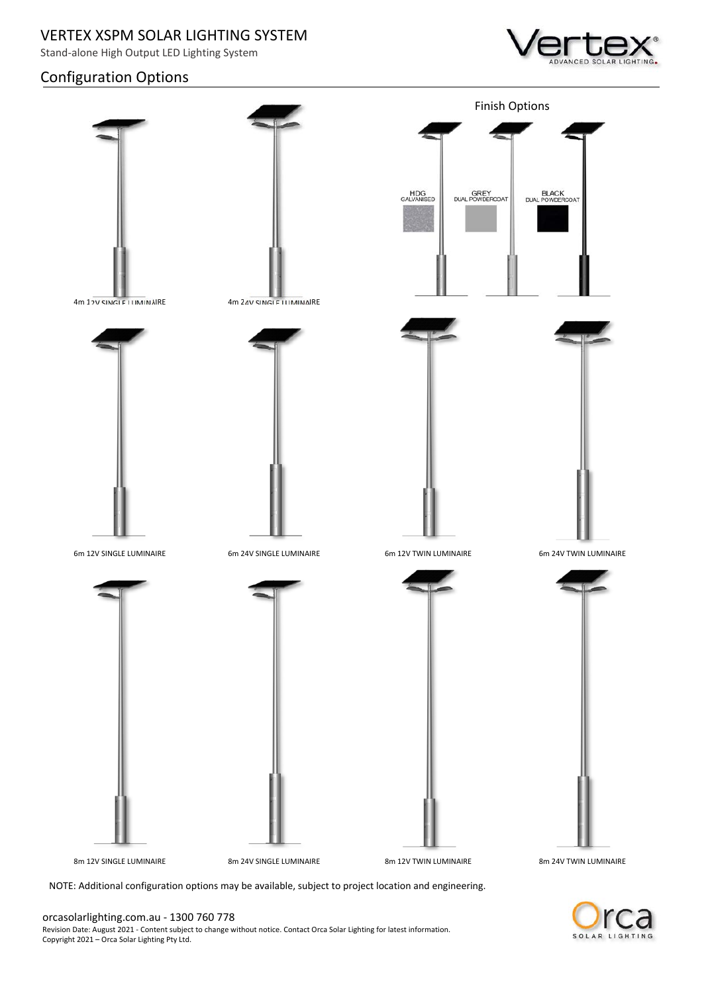Stand-alone High Output LED Lighting System

# Configuration Options





NOTE: Additional configuration options may be available, subject to project location and engineering.

orcasolarlighting.com.au - 1300 760 778 Revision Date: August 2021 - Content subject to change without notice. Contact Orca Solar Lighting for latest information. Copyright 2021 – Orca Solar Lighting Pty Ltd.

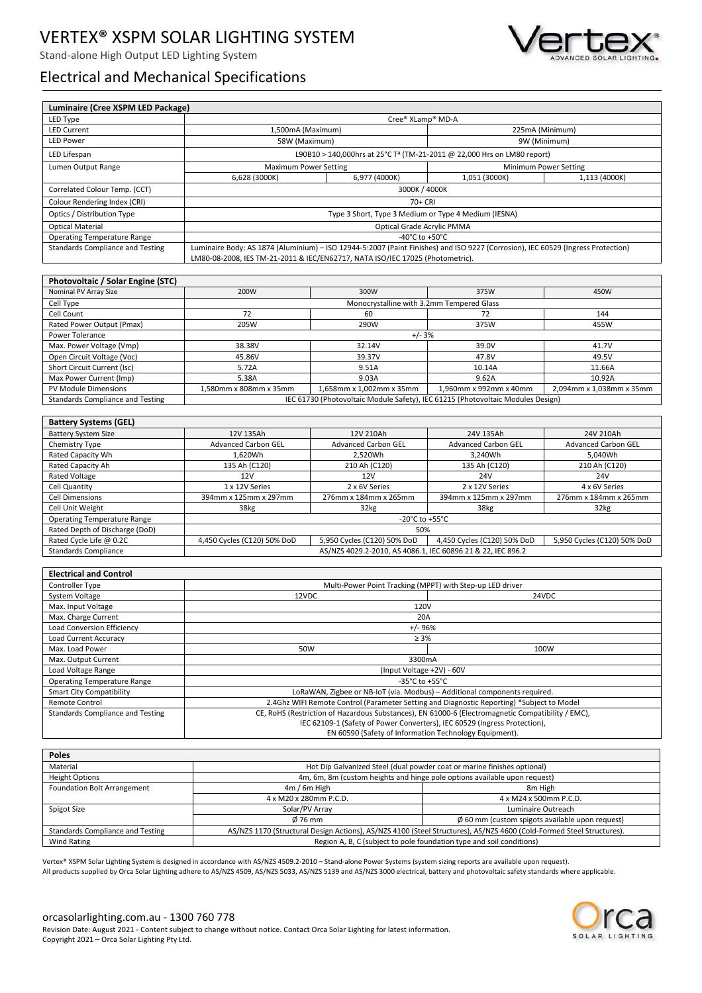Stand-alone High Output LED Lighting System



# Electrical and Mechanical Specifications

| Luminaire (Cree XSPM LED Package)                                                   |                                                                                                                                  |                                                             |                                                                                                   |                             |  |  |  |
|-------------------------------------------------------------------------------------|----------------------------------------------------------------------------------------------------------------------------------|-------------------------------------------------------------|---------------------------------------------------------------------------------------------------|-----------------------------|--|--|--|
| LED Type                                                                            |                                                                                                                                  | Cree® XLamp® MD-A                                           |                                                                                                   |                             |  |  |  |
| <b>LED Current</b>                                                                  | 1,500mA (Maximum)                                                                                                                |                                                             | 225mA (Minimum)                                                                                   |                             |  |  |  |
| <b>LED Power</b>                                                                    | 58W (Maximum)                                                                                                                    |                                                             | 9W (Minimum)                                                                                      |                             |  |  |  |
| LED Lifespan                                                                        | L90B10 > 140,000hrs at 25°C T <sup>a</sup> (TM-21-2011 @ 22,000 Hrs on LM80 report)                                              |                                                             |                                                                                                   |                             |  |  |  |
|                                                                                     | <b>Maximum Power Setting</b>                                                                                                     |                                                             |                                                                                                   |                             |  |  |  |
| Lumen Output Range                                                                  |                                                                                                                                  |                                                             | Minimum Power Setting<br>1,113 (4000K)                                                            |                             |  |  |  |
|                                                                                     | 6,628 (3000K)                                                                                                                    | 6,977 (4000K)                                               | 1,051 (3000K)                                                                                     |                             |  |  |  |
| Correlated Colour Temp. (CCT)                                                       |                                                                                                                                  | 3000K / 4000K                                               |                                                                                                   |                             |  |  |  |
| Colour Rendering Index (CRI)                                                        | 70+ CRI                                                                                                                          |                                                             |                                                                                                   |                             |  |  |  |
| Optics / Distribution Type                                                          | Type 3 Short, Type 3 Medium or Type 4 Medium (IESNA)                                                                             |                                                             |                                                                                                   |                             |  |  |  |
| <b>Optical Material</b>                                                             | Optical Grade Acrylic PMMA                                                                                                       |                                                             |                                                                                                   |                             |  |  |  |
| <b>Operating Temperature Range</b>                                                  |                                                                                                                                  | -40°C to +50°C                                              |                                                                                                   |                             |  |  |  |
| <b>Standards Compliance and Testing</b>                                             | Luminaire Body: AS 1874 (Aluminium) - ISO 12944-5:2007 (Paint Finishes) and ISO 9227 (Corrosion), IEC 60529 (Ingress Protection) |                                                             |                                                                                                   |                             |  |  |  |
|                                                                                     | LM80-08-2008, IES TM-21-2011 & IEC/EN62717, NATA ISO/IEC 17025 (Photometric).                                                    |                                                             |                                                                                                   |                             |  |  |  |
|                                                                                     |                                                                                                                                  |                                                             |                                                                                                   |                             |  |  |  |
| Photovoltaic / Solar Engine (STC)                                                   |                                                                                                                                  |                                                             |                                                                                                   |                             |  |  |  |
| Nominal PV Array Size                                                               | 200W                                                                                                                             | 300W                                                        | 375W                                                                                              | 450W                        |  |  |  |
| Cell Type                                                                           |                                                                                                                                  | Monocrystalline with 3.2mm Tempered Glass                   |                                                                                                   |                             |  |  |  |
| Cell Count                                                                          | 72                                                                                                                               | 60                                                          | 72                                                                                                | 144                         |  |  |  |
| Rated Power Output (Pmax)                                                           | 205W                                                                                                                             | 290W                                                        | 375W                                                                                              | 455W                        |  |  |  |
| Power Tolerance                                                                     |                                                                                                                                  | $+/- 3%$                                                    |                                                                                                   |                             |  |  |  |
| Max. Power Voltage (Vmp)                                                            | 38.38V                                                                                                                           | 32.14V                                                      | 39.0V                                                                                             | 41.7V                       |  |  |  |
| Open Circuit Voltage (Voc)                                                          | 45.86V                                                                                                                           | 39.37V                                                      | 47.8V                                                                                             | 49.5V                       |  |  |  |
| Short Circuit Current (Isc)                                                         | 5.72A                                                                                                                            | 9.51A                                                       | 10.14A                                                                                            | 11.66A                      |  |  |  |
| Max Power Current (Imp)                                                             | 5.38A                                                                                                                            | 9.03A                                                       | 9.62A                                                                                             | 10.92A                      |  |  |  |
| PV Module Dimensions                                                                | 1,580mm x 808mm x 35mm                                                                                                           | 1,658mm x 1,002mm x 35mm                                    | 1.960mm x 992mm x 40mm                                                                            | 2,094mm x 1,038mm x 35mm    |  |  |  |
| <b>Standards Compliance and Testing</b>                                             |                                                                                                                                  |                                                             | IEC 61730 (Photovoltaic Module Safety), IEC 61215 (Photovoltaic Modules Design)                   |                             |  |  |  |
|                                                                                     |                                                                                                                                  |                                                             |                                                                                                   |                             |  |  |  |
| <b>Battery Systems (GEL)</b>                                                        |                                                                                                                                  |                                                             |                                                                                                   |                             |  |  |  |
|                                                                                     |                                                                                                                                  |                                                             |                                                                                                   |                             |  |  |  |
| <b>Battery System Size</b>                                                          | 12V 135Ah                                                                                                                        | 12V 210Ah                                                   | 24V 135Ah                                                                                         | 24V 210Ah                   |  |  |  |
| Chemistry Type                                                                      | <b>Advanced Carbon GEL</b>                                                                                                       | <b>Advanced Carbon GEL</b>                                  | <b>Advanced Carbon GEL</b>                                                                        | <b>Advanced Carbon GEL</b>  |  |  |  |
| Rated Capacity Wh                                                                   | 1,620Wh                                                                                                                          | 2,520Wh                                                     | 3,240Wh                                                                                           | 5,040Wh                     |  |  |  |
| Rated Capacity Ah                                                                   | 135 Ah (C120)                                                                                                                    | 210 Ah (C120)                                               | 135 Ah (C120)                                                                                     | 210 Ah (C120)               |  |  |  |
| <b>Rated Voltage</b>                                                                | 12V                                                                                                                              | 12V                                                         | <b>24V</b>                                                                                        | <b>24V</b>                  |  |  |  |
| Cell Quantity                                                                       | 1 x 12V Series                                                                                                                   | 2 x 6V Series                                               | 2 x 12V Series                                                                                    | 4 x 6V Series               |  |  |  |
| <b>Cell Dimensions</b>                                                              | 394mm x 125mm x 297mm                                                                                                            | 276mm x 184mm x 265mm                                       | 394mm x 125mm x 297mm                                                                             | 276mm x 184mm x 265mm       |  |  |  |
| Cell Unit Weight                                                                    | 38kg                                                                                                                             | 32kg                                                        | 38kg                                                                                              | 32kg                        |  |  |  |
| <b>Operating Temperature Range</b>                                                  |                                                                                                                                  | -20°C to +55°C<br>50%                                       |                                                                                                   |                             |  |  |  |
| Rated Depth of Discharge (DoD)                                                      |                                                                                                                                  |                                                             |                                                                                                   |                             |  |  |  |
| Rated Cycle Life @ 0.2C                                                             | 4,450 Cycles (C120) 50% DoD                                                                                                      | 5,950 Cycles (C120) 50% DoD                                 | 4,450 Cycles (C120) 50% DoD                                                                       | 5,950 Cycles (C120) 50% DoD |  |  |  |
| <b>Standards Compliance</b>                                                         |                                                                                                                                  | AS/NZS 4029.2-2010, AS 4086.1, IEC 60896 21 & 22, IEC 896.2 |                                                                                                   |                             |  |  |  |
|                                                                                     |                                                                                                                                  |                                                             |                                                                                                   |                             |  |  |  |
| <b>Electrical and Control</b>                                                       |                                                                                                                                  |                                                             |                                                                                                   |                             |  |  |  |
| Controller Type                                                                     |                                                                                                                                  | Multi-Power Point Tracking (MPPT) with Step-up LED driver   |                                                                                                   |                             |  |  |  |
| System Voltage                                                                      | 12VDC                                                                                                                            |                                                             |                                                                                                   | 24VDC                       |  |  |  |
| Max. Input Voltage                                                                  | 120V                                                                                                                             |                                                             |                                                                                                   |                             |  |  |  |
| Max. Charge Current                                                                 | 20A                                                                                                                              |                                                             |                                                                                                   |                             |  |  |  |
| Load Conversion Efficiency                                                          | $+/-96%$                                                                                                                         |                                                             |                                                                                                   |                             |  |  |  |
| Load Current Accuracy                                                               | $\geq 3\%$                                                                                                                       |                                                             |                                                                                                   |                             |  |  |  |
| Max. Load Power                                                                     | 50W<br>100W                                                                                                                      |                                                             |                                                                                                   |                             |  |  |  |
| Max. Output Current                                                                 |                                                                                                                                  | 3300mA                                                      |                                                                                                   |                             |  |  |  |
| Load Voltage Range                                                                  |                                                                                                                                  | (Input Voltage +2V) - 60V                                   |                                                                                                   |                             |  |  |  |
| <b>Operating Temperature Range</b>                                                  | -35 $^{\circ}$ C to +55 $^{\circ}$ C                                                                                             |                                                             |                                                                                                   |                             |  |  |  |
| <b>Smart City Compatibility</b>                                                     | LoRaWAN, Zigbee or NB-IoT (via. Modbus) - Additional components required.                                                        |                                                             |                                                                                                   |                             |  |  |  |
| Remote Control                                                                      | 2.4Ghz WIFI Remote Control (Parameter Setting and Diagnostic Reporting) *Subject to Model                                        |                                                             |                                                                                                   |                             |  |  |  |
| <b>Standards Compliance and Testing</b>                                             |                                                                                                                                  |                                                             | CE, RoHS (Restriction of Hazardous Substances), EN 61000-6 (Electromagnetic Compatibility / EMC), |                             |  |  |  |
| IEC 62109-1 (Safety of Power Converters), IEC 60529 (Ingress Protection),           |                                                                                                                                  |                                                             |                                                                                                   |                             |  |  |  |
| EN 60590 (Safety of Information Technology Equipment).                              |                                                                                                                                  |                                                             |                                                                                                   |                             |  |  |  |
|                                                                                     |                                                                                                                                  |                                                             |                                                                                                   |                             |  |  |  |
| <b>Poles</b>                                                                        |                                                                                                                                  |                                                             |                                                                                                   |                             |  |  |  |
| Material<br>Hot Dip Galvanized Steel (dual powder coat or marine finishes optional) |                                                                                                                                  |                                                             |                                                                                                   |                             |  |  |  |
| <b>Height Options</b>                                                               | 4m, 6m, 8m (custom heights and hinge pole options available upon request)                                                        |                                                             |                                                                                                   |                             |  |  |  |
| Foundation Bolt Arrangement                                                         | $4m/6m$ High                                                                                                                     |                                                             | 8m High                                                                                           |                             |  |  |  |
|                                                                                     | 4 x M20 x 280mm P.C.D.<br>4 x M24 x 500mm P.C.D.                                                                                 |                                                             |                                                                                                   |                             |  |  |  |
| Spigot Size                                                                         | Solar/PV Array<br>Luminaire Outreach                                                                                             |                                                             |                                                                                                   |                             |  |  |  |
|                                                                                     | $Ø$ 76 mm                                                                                                                        |                                                             | $\emptyset$ 60 mm (custom spigots available upon request)                                         |                             |  |  |  |

Standards Compliance and Testing AS/NZS 1170 (Structural Design Actions), AS/NZS 4100 (Steel Structures), AS/NZS 4600 (Cold-Formed Steel Structures) Wind Rating Region A, B, C (subject to pole foundation type and soil conditions)

Vertex® XSPM Solar Lighting System is designed in accordance with AS/NZS 4509.2-2010 – Stand-alone Power Systems (system sizing reports are available upon request). All products supplied by Orca Solar Lighting adhere to AS/NZS 4509, AS/NZS 5033, AS/NZS 5139 and AS/NZS 3000 electrical, battery and photovoltaic safety standards where applicable.

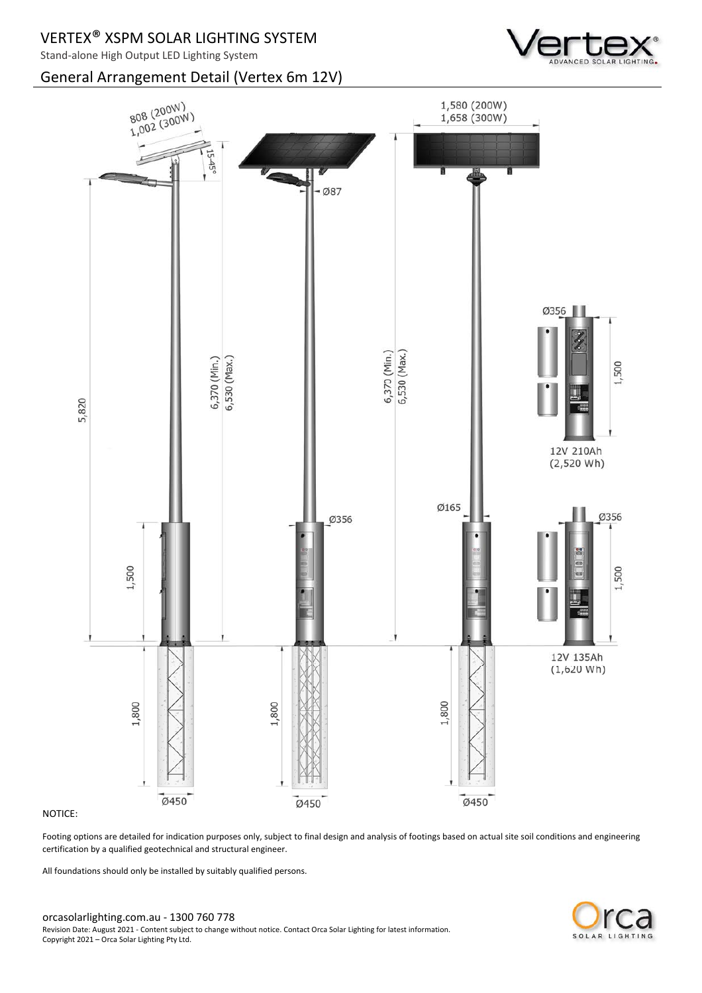## General Arrangement Detail (Vertex 6m 12V)





### NOTICE:

Footing options are detailed for indication purposes only, subject to final design and analysis of footings based on actual site soil conditions and engineering certification by a qualified geotechnical and structural engineer.

All foundations should only be installed by suitably qualified persons.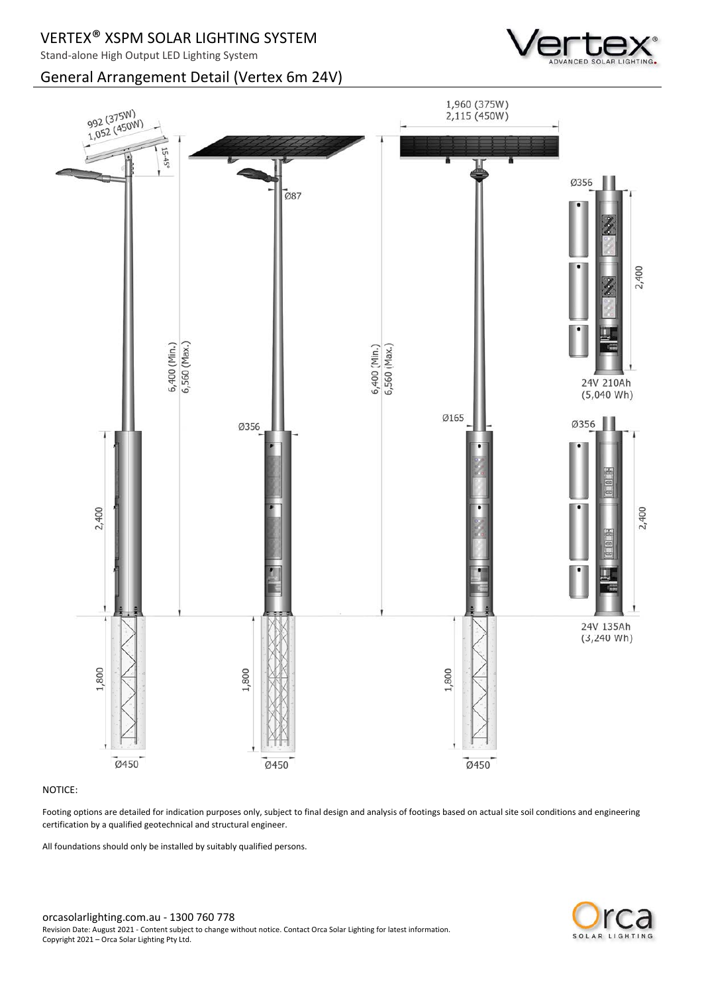## General Arrangement Detail (Vertex 6m 24V)





### NOTICE:

Footing options are detailed for indication purposes only, subject to final design and analysis of footings based on actual site soil conditions and engineering certification by a qualified geotechnical and structural engineer.

All foundations should only be installed by suitably qualified persons.